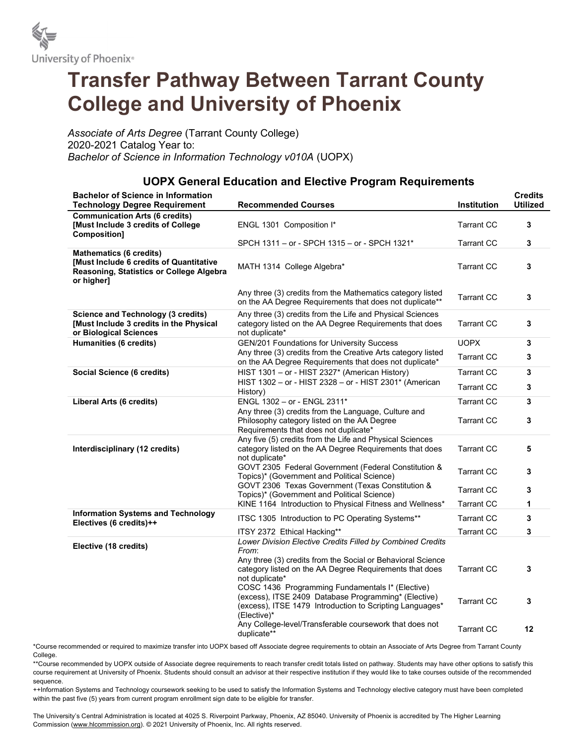

## Transfer Pathway Between Tarrant County College and University of Phoenix

Associate of Arts Degree (Tarrant County College) 2020-2021 Catalog Year to: Bachelor of Science in Information Technology v010A (UOPX)

## UOPX General Education and Elective Program Requirements

| <b>Bachelor of Science in Information</b><br><b>Technology Degree Requirement</b>                                                   | <b>Recommended Courses</b>                                                                                                                                                                            | <b>Institution</b> | <b>Credits</b><br><b>Utilized</b> |
|-------------------------------------------------------------------------------------------------------------------------------------|-------------------------------------------------------------------------------------------------------------------------------------------------------------------------------------------------------|--------------------|-----------------------------------|
| <b>Communication Arts (6 credits)</b><br>[Must Include 3 credits of College<br>Composition]                                         | ENGL 1301 Composition I*                                                                                                                                                                              | <b>Tarrant CC</b>  | 3                                 |
|                                                                                                                                     | SPCH 1311 - or - SPCH 1315 - or - SPCH 1321*                                                                                                                                                          | <b>Tarrant CC</b>  | 3                                 |
| <b>Mathematics (6 credits)</b><br>[Must Include 6 credits of Quantitative<br>Reasoning, Statistics or College Algebra<br>or higher] | MATH 1314 College Algebra*                                                                                                                                                                            | <b>Tarrant CC</b>  | 3                                 |
|                                                                                                                                     | Any three (3) credits from the Mathematics category listed<br>on the AA Degree Requirements that does not duplicate**                                                                                 | <b>Tarrant CC</b>  | 3                                 |
| <b>Science and Technology (3 credits)</b><br>[Must Include 3 credits in the Physical<br>or Biological Sciences                      | Any three (3) credits from the Life and Physical Sciences<br>category listed on the AA Degree Requirements that does<br>not duplicate*                                                                | <b>Tarrant CC</b>  | 3                                 |
| <b>Humanities (6 credits)</b>                                                                                                       | <b>GEN/201 Foundations for University Success</b>                                                                                                                                                     | <b>UOPX</b>        | 3                                 |
|                                                                                                                                     | Any three (3) credits from the Creative Arts category listed<br>on the AA Degree Requirements that does not duplicate*                                                                                | <b>Tarrant CC</b>  | 3                                 |
| <b>Social Science (6 credits)</b>                                                                                                   | HIST 1301 - or - HIST 2327* (American History)                                                                                                                                                        | <b>Tarrant CC</b>  | 3                                 |
|                                                                                                                                     | HIST 1302 - or - HIST 2328 - or - HIST 2301* (American<br>History)                                                                                                                                    | <b>Tarrant CC</b>  | 3                                 |
| <b>Liberal Arts (6 credits)</b>                                                                                                     | ENGL 1302 - or - ENGL 2311*                                                                                                                                                                           | <b>Tarrant CC</b>  | 3                                 |
|                                                                                                                                     | Any three (3) credits from the Language, Culture and<br>Philosophy category listed on the AA Degree<br>Requirements that does not duplicate*                                                          | <b>Tarrant CC</b>  | 3                                 |
| Interdisciplinary (12 credits)                                                                                                      | Any five (5) credits from the Life and Physical Sciences<br>category listed on the AA Degree Requirements that does<br>not duplicate*                                                                 | <b>Tarrant CC</b>  | 5                                 |
|                                                                                                                                     | GOVT 2305 Federal Government (Federal Constitution &<br>Topics)* (Government and Political Science)                                                                                                   | <b>Tarrant CC</b>  | 3                                 |
|                                                                                                                                     | GOVT 2306 Texas Government (Texas Constitution &<br>Topics)* (Government and Political Science)                                                                                                       | <b>Tarrant CC</b>  | 3                                 |
|                                                                                                                                     | KINE 1164 Introduction to Physical Fitness and Wellness*                                                                                                                                              | <b>Tarrant CC</b>  | 1                                 |
| <b>Information Systems and Technology</b><br>Electives (6 credits)++                                                                | ITSC 1305 Introduction to PC Operating Systems**                                                                                                                                                      | <b>Tarrant CC</b>  | 3                                 |
|                                                                                                                                     | ITSY 2372 Ethical Hacking**                                                                                                                                                                           | <b>Tarrant CC</b>  | 3                                 |
| Elective (18 credits)                                                                                                               | Lower Division Elective Credits Filled by Combined Credits<br>From:<br>Any three (3) credits from the Social or Behavioral Science<br>category listed on the AA Degree Requirements that does         | <b>Tarrant CC</b>  | 3                                 |
|                                                                                                                                     | not duplicate*<br>COSC 1436 Programming Fundamentals I* (Elective)<br>(excess), ITSE 2409 Database Programming* (Elective)<br>(excess), ITSE 1479 Introduction to Scripting Languages*<br>(Elective)* | <b>Tarrant CC</b>  | 3                                 |
|                                                                                                                                     | Any College-level/Transferable coursework that does not<br>duplicate**                                                                                                                                | <b>Tarrant CC</b>  | 12                                |

\*Course recommended or required to maximize transfer into UOPX based off Associate degree requirements to obtain an Associate of Arts Degree from Tarrant County College.

\*\*Course recommended by UOPX outside of Associate degree requirements to reach transfer credit totals listed on pathway. Students may have other options to satisfy this course requirement at University of Phoenix. Students should consult an advisor at their respective institution if they would like to take courses outside of the recommended sequence.

++Information Systems and Technology coursework seeking to be used to satisfy the Information Systems and Technology elective category must have been completed within the past five (5) years from current program enrollment sign date to be eligible for transfer.

The University's Central Administration is located at 4025 S. Riverpoint Parkway, Phoenix, AZ 85040. University of Phoenix is accredited by The Higher Learning Commission (www.hlcommission.org). © 2021 University of Phoenix, Inc. All rights reserved.